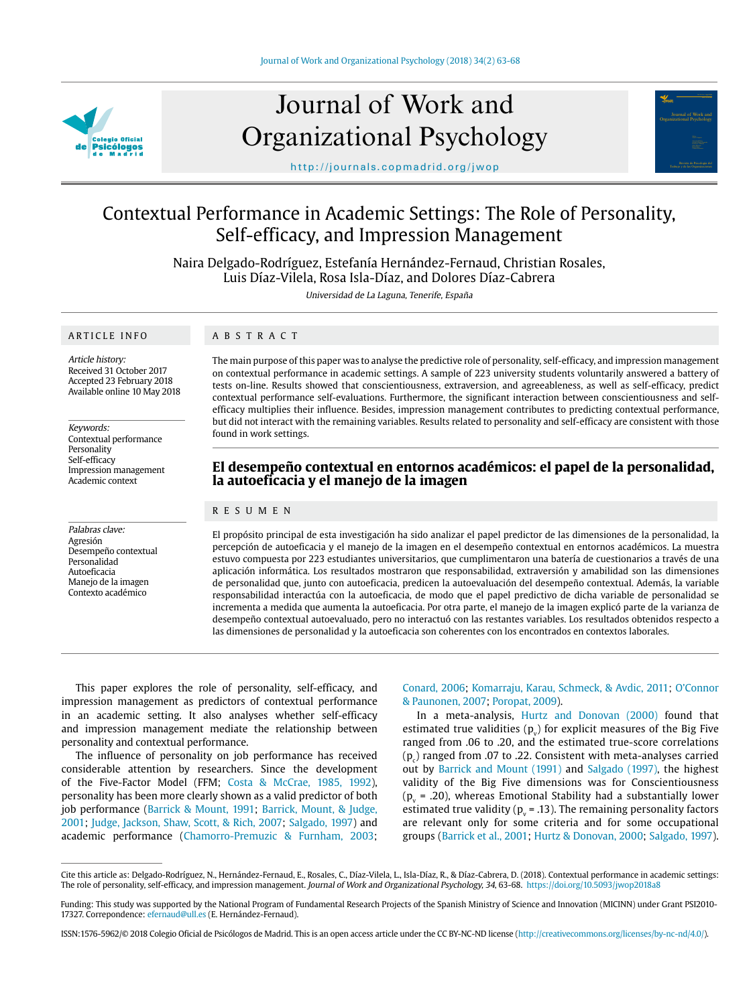

# Journal of Work and Organizational Psychology



http://journals.copmadrid.org/jwop

# Contextual Performance in Academic Settings: The Role of Personality, Self-efficacy, and Impression Management

Naira Delgado-Rodríguez, Estefanía Hernández-Fernaud, Christian Rosales, Luis Díaz-Vilela, Rosa Isla-Díaz, and Dolores Díaz-Cabrera

Universidad de La Laguna, Tenerife, España

#### ARTICLE INFO

#### ABSTRACT

Article history: Received 31 October 2017 Accepted 23 February 2018 Available online 10 May 2018

Keywords: Contextual performance Personality Self-efficacy Impression management Academic context

Palabras clave: Agresión Desempeño contextual Personalidad Autoeficacia Manejo de la imagen Contexto académico

The main purpose of this paper was to analyse the predictive role of personality, self-efficacy, and impression management on contextual performance in academic settings. A sample of 223 university students voluntarily answered a battery of tests on-line. Results showed that conscientiousness, extraversion, and agreeableness, as well as self-efficacy, predict contextual performance self-evaluations. Furthermore, the significant interaction between conscientiousness and selfefficacy multiplies their influence. Besides, impression management contributes to predicting contextual performance, but did not interact with the remaining variables. Results related to personality and self-efficacy are consistent with those found in work settings.

# **El desempeño contextual en entornos académicos: el papel de la personalidad, la autoeficacia y el manejo de la imagen**

#### RESUMEN

El propósito principal de esta investigación ha sido analizar el papel predictor de las dimensiones de la personalidad, la percepción de autoeficacia y el manejo de la imagen en el desempeño contextual en entornos académicos. La muestra estuvo compuesta por 223 estudiantes universitarios, que cumplimentaron una batería de cuestionarios a través de una aplicación informática. Los resultados mostraron que responsabilidad, extraversión y amabilidad son las dimensiones de personalidad que, junto con autoeficacia, predicen la autoevaluación del desempeño contextual. Además, la variable responsabilidad interactúa con la autoeficacia, de modo que el papel predictivo de dicha variable de personalidad se incrementa a medida que aumenta la autoeficacia. Por otra parte, el manejo de la imagen explicó parte de la varianza de desempeño contextual autoevaluado, pero no interactuó con las restantes variables. Los resultados obtenidos respecto a las dimensiones de personalidad y la autoeficacia son coherentes con los encontrados en contextos laborales.

This paper explores the role of personality, self-efficacy, and impression management as predictors of contextual performance in an academic setting. It also analyses whether self-efficacy and impression management mediate the relationship between personality and contextual performance.

The influence of personality on job performance has received considerable attention by researchers. Since the development of the Five-Factor Model (FFM; [Costa & McCrae, 1985, 1992](#page-4-0)), personality has been more clearly shown as a valid predictor of both job performance [\(Barrick & Mount, 1991;](#page-4-1) [Barrick, Mount, & Judge,](#page-4-2)  [2001;](#page-4-2) [Judge, Jackson, Shaw, Scott, & Rich, 2007;](#page-5-0) [Salgado, 1997](#page-5-1)) and academic performance ([Chamorro-Premuzic & Furnham, 2003](#page-4-3);

[Conard, 2006;](#page-4-4) [Komarraju, Karau, Schmeck, & Avdic, 2011;](#page-5-2) [O'Connor](#page-5-3) [& Paunonen, 2007;](#page-5-3) [Poropat, 2009](#page-5-4)).

In a meta-analysis, [Hurtz and Donovan \(2000\)](#page-5-5) found that estimated true validities  $(p_v)$  for explicit measures of the Big Five ranged from .06 to .20, and the estimated true-score correlations  $(p_c)$  ranged from .07 to .22. Consistent with meta-analyses carried out by [Barrick and Mount \(1991\)](#page-4-1) and [Salgado \(1997\),](#page-5-1) the highest validity of the Big Five dimensions was for Conscientiousness  $(p_v = .20)$ , whereas Emotional Stability had a substantially lower estimated true validity ( $p_v$  = .13). The remaining personality factors are relevant only for some criteria and for some occupational groups ([Barrick et al., 2001](#page-4-2); [Hurtz & Donovan, 2000](#page-5-5); [Salgado, 1997](#page-5-1)).

Cite this article as: Delgado-Rodríguez, N., Hernández-Fernaud, E., Rosales, C., Díaz-Vilela, L., Isla-Díaz, R., & Díaz-Cabrera, D. (2018). Contextual performance in academic settings: The role of personality, self-efficacy, and impression management. Journal of Work and Organizational Psychology, 34, 63-68. https://doi.org/10.5093/jwop2018a8

Funding: This study was supported by the National Program of Fundamental Research Projects of the Spanish Ministry of Science and Innovation (MICINN) under Grant PSI2010- 17327. Correpondence: efernaud@ull.es (E. Hernández-Fernaud).

ISSN:1576-5962/© 2018 Colegio Oficial de Psicólogos de Madrid. This is an open access article under the CC BY-NC-ND license (http://creativecommons.org/licenses/by-nc-nd/4.0/).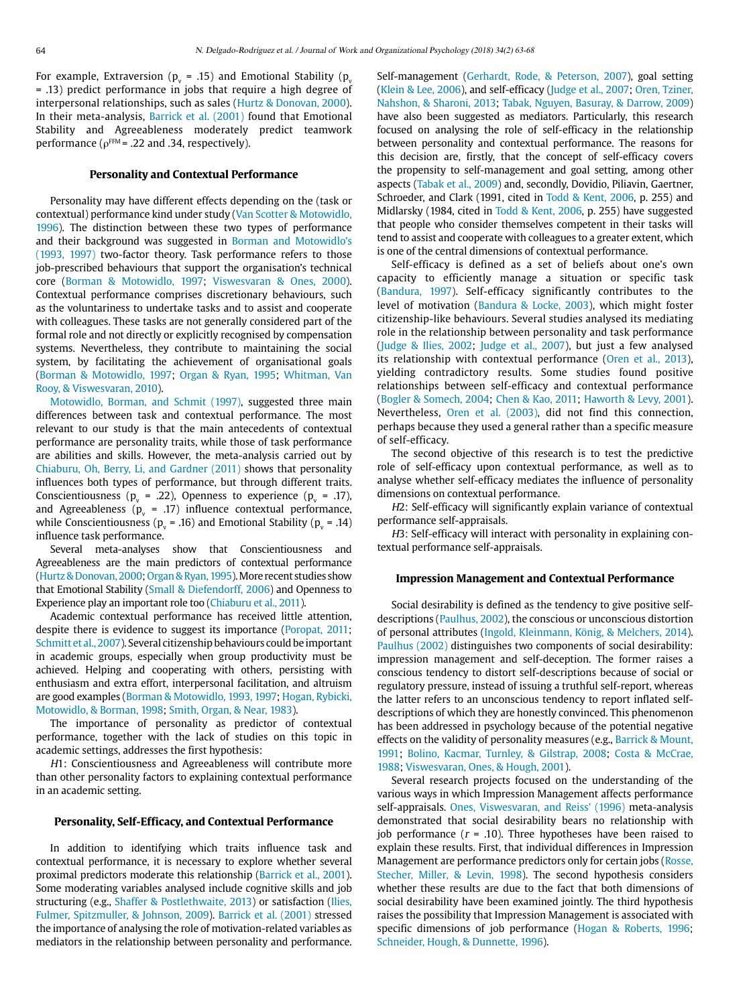For example, Extraversion (p $_{\rm v}$  = .15) and Emotional Stability (p $_{\rm v}$ = .13) predict performance in jobs that require a high degree of interpersonal relationships, such as sales [\(Hurtz & Donovan, 2000\)](#page-5-5). In their meta-analysis, [Barrick et al. \(2001\)](#page-4-2) found that Emotional Stability and Agreeableness moderately predict teamwork performance ( $\rho$ <sup>FFM</sup> = .22 and .34, respectively).

## **Personality and Contextual Performance**

Personality may have different effects depending on the (task or contextual) performance kind under study [\(Van Scotter & Motowidlo,](#page-5-6)  [1996](#page-5-6)). The distinction between these two types of performance and their background was suggested in [Borman and Motowidlo's](#page-4-5)  [\(1993, 1997\)](#page-4-5) two-factor theory. Task performance refers to those job-prescribed behaviours that support the organisation's technical core ([Borman & Motowidlo, 1997](#page-4-6); [Viswesvaran & Ones, 2000](#page-5-7)). Contextual performance comprises discretionary behaviours, such as the voluntariness to undertake tasks and to assist and cooperate with colleagues. These tasks are not generally considered part of the formal role and not directly or explicitly recognised by compensation systems. Nevertheless, they contribute to maintaining the social system, by facilitating the achievement of organisational goals [\(Borman & Motowidlo, 1997](#page-4-6); [Organ & Ryan, 1995;](#page-5-8) [Whitman, Van](#page-5-9)  [Rooy, & Viswesvaran, 2010](#page-5-9)).

[Motowidlo, Borman, and Schmit \(1997\)](#page-5-10), suggested three main differences between task and contextual performance. The most relevant to our study is that the main antecedents of contextual performance are personality traits, while those of task performance are abilities and skills. However, the meta-analysis carried out by [Chiaburu, Oh, Berry, Li, and Gardner \(2011\)](#page-4-7) shows that personality influences both types of performance, but through different traits. Conscientiousness ( $p_v = .22$ ), Openness to experience ( $p_v = .17$ ), and Agreeableness ( $p_v$  = .17) influence contextual performance, while Conscientiousness ( $p_v$  = .16) and Emotional Stability ( $p_v$  = .14) influence task performance.

Several meta-analyses show that Conscientiousness and Agreeableness are the main predictors of contextual performance [\(Hurtz & Donovan, 2000](#page-5-5); [Organ & Ryan, 1995](#page-5-8)). More recent studies show that Emotional Stability ([Small & Diefendorff, 2006\)](#page-5-11) and Openness to Experience play an important role too [\(Chiaburu et al., 2011](#page-4-7)).

Academic contextual performance has received little attention, despite there is evidence to suggest its importance ([Poropat, 2011;](#page-5-12) [Schmitt et al., 2007](#page-5-13)). Several citizenship behaviours could be important in academic groups, especially when group productivity must be achieved. Helping and cooperating with others, persisting with enthusiasm and extra effort, interpersonal facilitation, and altruism are good examples ([Borman & Motowidlo, 1993, 1997](#page-4-5); [Hogan, Rybicki,](#page-5-14)  [Motowidlo, & Borman, 1998;](#page-5-14) [Smith, Organ, & Near, 1983\)](#page-5-15).

The importance of personality as predictor of contextual performance, together with the lack of studies on this topic in academic settings, addresses the first hypothesis:

H1: Conscientiousness and Agreeableness will contribute more than other personality factors to explaining contextual performance in an academic setting.

#### **Personality, Self-Efficacy, and Contextual Performance**

In addition to identifying which traits influence task and contextual performance, it is necessary to explore whether several proximal predictors moderate this relationship ([Barrick et al., 2001](#page-4-2)). Some moderating variables analysed include cognitive skills and job structuring (e.g., [Shaffer & Postlethwaite, 2013\)](#page-5-16) or satisfaction [\(Ilies,](#page-5-17)  [Fulmer, Spitzmuller, & Johnson, 2009\)](#page-5-17). [Barrick et al. \(2001\)](#page-4-2) stressed the importance of analysing the role of motivation-related variables as mediators in the relationship between personality and performance. Self-management [\(Gerhardt, Rode, & Peterson, 2007\)](#page-5-18), goal setting ([Klein & Lee, 2006\)](#page-5-19), and self-efficacy ([Judge et al., 2007](#page-5-0); [Oren, Tziner,](#page-5-20) [Nahshon, & Sharoni, 2013](#page-5-20); [Tabak, Nguyen, Basuray, & Darrow, 2009](#page-5-21)) have also been suggested as mediators. Particularly, this research focused on analysing the role of self-efficacy in the relationship between personality and contextual performance. The reasons for this decision are, firstly, that the concept of self-efficacy covers the propensity to self-management and goal setting, among other aspects [\(Tabak et al., 2009\)](#page-5-21) and, secondly, Dovidio, Piliavin, Gaertner, Schroeder, and Clark (1991, cited in [Todd & Kent, 2006](#page-5-21), p. 255) and Midlarsky (1984, cited in [Todd & Kent, 2006](#page-5-21), p. 255) have suggested that people who consider themselves competent in their tasks will tend to assist and cooperate with colleagues to a greater extent, which is one of the central dimensions of contextual performance.

Self-efficacy is defined as a set of beliefs about one's own capacity to efficiently manage a situation or specific task ([Bandura, 1997\)](#page-4-8). Self-efficacy significantly contributes to the level of motivation [\(Bandura & Locke, 2003\)](#page-4-9), which might foster citizenship-like behaviours. Several studies analysed its mediating role in the relationship between personality and task performance ([Judge & Ilies, 2002;](#page-5-22) [Judge et al., 2007\)](#page-5-0), but just a few analysed its relationship with contextual performance ([Oren et al., 2013](#page-5-20)), yielding contradictory results. Some studies found positive relationships between self-efficacy and contextual performance ([Bogler & Somech, 2004](#page-4-10); [Chen & Kao, 2011;](#page-4-11) [Haworth & Levy, 2001](#page-5-23)). Nevertheless, [Oren et al. \(2003\)](#page-5-20), did not find this connection, perhaps because they used a general rather than a specific measure of self-efficacy.

The second objective of this research is to test the predictive role of self-efficacy upon contextual performance, as well as to analyse whether self-efficacy mediates the influence of personality dimensions on contextual performance.

H2: Self-efficacy will significantly explain variance of contextual performance self-appraisals.

H3: Self-efficacy will interact with personality in explaining contextual performance self-appraisals.

#### **Impression Management and Contextual Performance**

Social desirability is defined as the tendency to give positive selfdescriptions ([Paulhus, 2002\)](#page-5-24), the conscious or unconscious distortion of personal attributes [\(Ingold, Kleinmann, König, & Melchers, 2014](#page-5-25)). [Paulhus \(2002\) d](#page-5-24)istinguishes two components of social desirability: impression management and self-deception. The former raises a conscious tendency to distort self-descriptions because of social or regulatory pressure, instead of issuing a truthful self-report, whereas the latter refers to an unconscious tendency to report inflated selfdescriptions of which they are honestly convinced. This phenomenon has been addressed in psychology because of the potential negative effects on the validity of personality measures (e.g., [Barrick & Mount,](#page-4-1) [1991](#page-4-1); [Bolino, Kacmar, Turnley, & Gilstrap, 2008;](#page-4-12) [Costa & McCrae,](#page-4-13) [1988;](#page-4-13) [Viswesvaran, Ones, & Hough, 2001\)](#page-5-26).

Several research projects focused on the understanding of the various ways in which Impression Management affects performance self-appraisals. [Ones, Viswesvaran, and Reiss' \(1996\)](#page-5-27) meta-analysis demonstrated that social desirability bears no relationship with job performance ( $r = .10$ ). Three hypotheses have been raised to explain these results. First, that individual differences in Impression Management are performance predictors only for certain jobs ([Rosse,](#page-5-28) [Stecher, Miller, & Levin, 1998\)](#page-5-28). The second hypothesis considers whether these results are due to the fact that both dimensions of social desirability have been examined jointly. The third hypothesis raises the possibility that Impression Management is associated with specific dimensions of job performance ([Hogan & Roberts, 1996](#page-5-29); [Schneider, Hough, & Dunnette, 1996](#page-5-30)).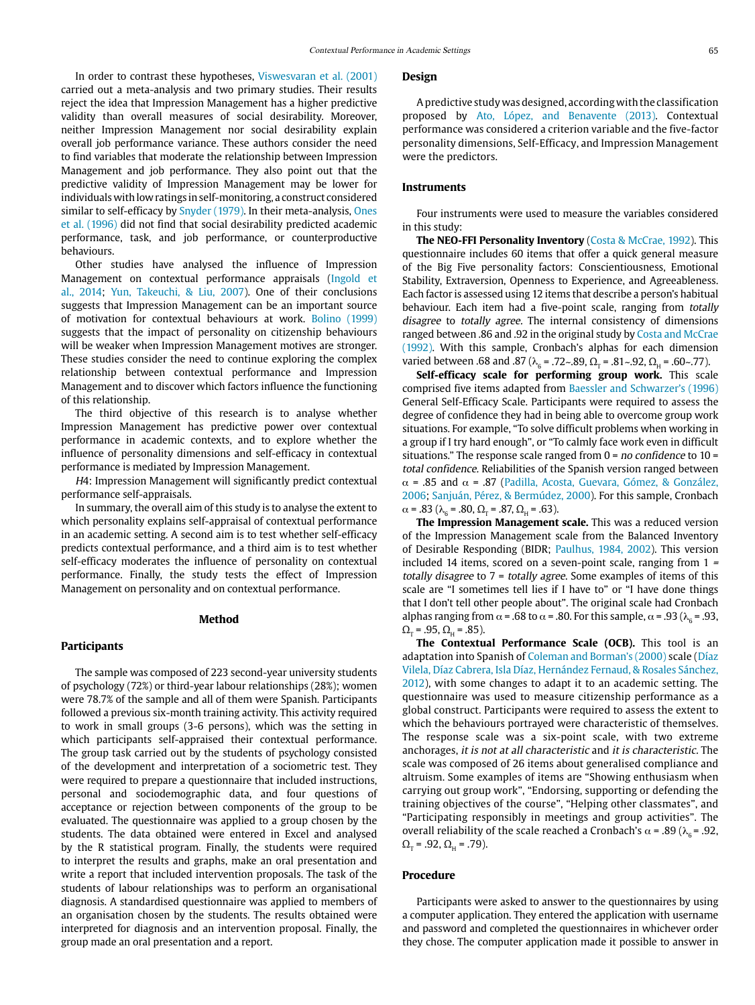In order to contrast these hypotheses, [Viswesvaran et al. \(2001\)](#page-5-26) carried out a meta-analysis and two primary studies. Their results reject the idea that Impression Management has a higher predictive validity than overall measures of social desirability. Moreover, neither Impression Management nor social desirability explain overall job performance variance. These authors consider the need to find variables that moderate the relationship between Impression Management and job performance. They also point out that the predictive validity of Impression Management may be lower for individuals with low ratings in self-monitoring, a construct considered similar to self-efficacy by [Snyder \(1979\)](#page-5-31). In their meta-analysis, [Ones](#page-5-27)  [et al. \(1996\)](#page-5-27) did not find that social desirability predicted academic performance, task, and job performance, or counterproductive behaviours.

Other studies have analysed the influence of Impression Management on contextual performance appraisals [\(Ingold et](#page-5-25)  [al., 2014](#page-5-25); [Yun, Takeuchi, & Liu, 2007\)](#page-5-32). One of their conclusions suggests that Impression Management can be an important source of motivation for contextual behaviours at work. [Bolino \(1999\)](#page-4-14) suggests that the impact of personality on citizenship behaviours will be weaker when Impression Management motives are stronger. These studies consider the need to continue exploring the complex relationship between contextual performance and Impression Management and to discover which factors influence the functioning of this relationship.

The third objective of this research is to analyse whether Impression Management has predictive power over contextual performance in academic contexts, and to explore whether the influence of personality dimensions and self-efficacy in contextual performance is mediated by Impression Management.

H4: Impression Management will significantly predict contextual performance self-appraisals.

In summary, the overall aim of this study is to analyse the extent to which personality explains self-appraisal of contextual performance in an academic setting. A second aim is to test whether self-efficacy predicts contextual performance, and a third aim is to test whether self-efficacy moderates the influence of personality on contextual performance. Finally, the study tests the effect of Impression Management on personality and on contextual performance.

#### **Method**

#### **Participants**

The sample was composed of 223 second-year university students of psychology (72%) or third-year labour relationships (28%); women were 78.7% of the sample and all of them were Spanish. Participants followed a previous six-month training activity. This activity required to work in small groups (3-6 persons), which was the setting in which participants self-appraised their contextual performance. The group task carried out by the students of psychology consisted of the development and interpretation of a sociometric test. They were required to prepare a questionnaire that included instructions, personal and sociodemographic data, and four questions of acceptance or rejection between components of the group to be evaluated. The questionnaire was applied to a group chosen by the students. The data obtained were entered in Excel and analysed by the R statistical program. Finally, the students were required to interpret the results and graphs, make an oral presentation and write a report that included intervention proposals. The task of the students of labour relationships was to perform an organisational diagnosis. A standardised questionnaire was applied to members of an organisation chosen by the students. The results obtained were interpreted for diagnosis and an intervention proposal. Finally, the group made an oral presentation and a report.

#### **Design**

A predictive study was designed, according with the classification proposed by [Ato, López, and Benavente \(2013\)](#page-4-15). Contextual performance was considered a criterion variable and the five-factor personality dimensions, Self-Efficacy, and Impression Management were the predictors.

#### **Instruments**

Four instruments were used to measure the variables considered in this study:

**The NEO-FFI Personality Inventory** [\(Costa & McCrae, 1992\)](#page-5-33). This questionnaire includes 60 items that offer a quick general measure of the Big Five personality factors: Conscientiousness, Emotional Stability, Extraversion, Openness to Experience, and Agreeableness. Each factor is assessed using 12 items that describe a person's habitual behaviour. Each item had a five-point scale, ranging from totally disagree to totally agree. The internal consistency of dimensions ranged between .86 and .92 in the original study by [Costa and McCrae](#page-5-33)  [\(1992\)](#page-5-33). With this sample, Cronbach's alphas for each dimension varied between .68 and .87 ( $\lambda$ <sub>6</sub> = .72~.89,  $\Omega$ <sub>r</sub> = .81~.92,  $\Omega$ <sub>H</sub> = .60~.77).

**Self-efficacy scale for performing group work.** This scale comprised five items adapted from [Baessler and Schwarzer's \(1996\)](#page-4-16) General Self-Efficacy Scale. Participants were required to assess the degree of confidence they had in being able to overcome group work situations. For example, "To solve difficult problems when working in a group if I try hard enough", or "To calmly face work even in difficult situations." The response scale ranged from  $0 = no$  confidence to  $10 =$ total confidence. Reliabilities of the Spanish version ranged between  $α = .85$  and  $α = .87$  (Padilla, Acosta, Guevara, Gómez, & González, [2006](#page-5-34); [Sanjuán, Pérez, & Bermúdez, 2000\)](#page-5-35). For this sample, Cronbach  $\alpha$  = .83 ( $\lambda$ <sub>6</sub> = .80,  $\Omega$ <sub>T</sub> = .87,  $\Omega$ <sub>H</sub> = .63).

**The Impression Management scale.** This was a reduced version of the Impression Management scale from the Balanced Inventory of Desirable Responding (BIDR; [Paulhus, 1984, 2002\)](#page-5-36). This version included 14 items, scored on a seven-point scale, ranging from 1 <sup>=</sup> totally disagree to 7 = totally agree. Some examples of items of this scale are "I sometimes tell lies if I have to" or "I have done things that I don't tell other people about". The original scale had Cronbach alphas ranging from  $\alpha$  = .68 to  $\alpha$  = .80. For this sample,  $\alpha$  = .93 ( $\lambda_{\alpha}$  = .93,  $\Omega_{\rm T}$  = .95,  $\Omega_{\rm H}$  = .85).

**The Contextual Performance Scale (OCB).** This tool is an adaptation into Spanish of [Coleman and Borman's \(2000\)](#page-4-17) scale (Díaz Vilela, Díaz Cabrera, Isla Díaz, Hernández Fernaud, & Rosales Sánchez, 2012), with some changes to adapt it to an academic setting. The questionnaire was used to measure citizenship performance as a global construct. Participants were required to assess the extent to which the behaviours portrayed were characteristic of themselves. The response scale was a six-point scale, with two extreme anchorages, it is not at all characteristic and it is characteristic. The scale was composed of 26 items about generalised compliance and altruism. Some examples of items are "Showing enthusiasm when carrying out group work", "Endorsing, supporting or defending the training objectives of the course", "Helping other classmates", and "Participating responsibly in meetings and group activities". The overall reliability of the scale reached a Cronbach's  $\alpha$  = .89 (λ<sub>6</sub> = .92,  $\Omega_{\rm T}$  = .92,  $\Omega_{\rm H}$  = .79).

#### **Procedure**

Participants were asked to answer to the questionnaires by using a computer application. They entered the application with username and password and completed the questionnaires in whichever order they chose. The computer application made it possible to answer in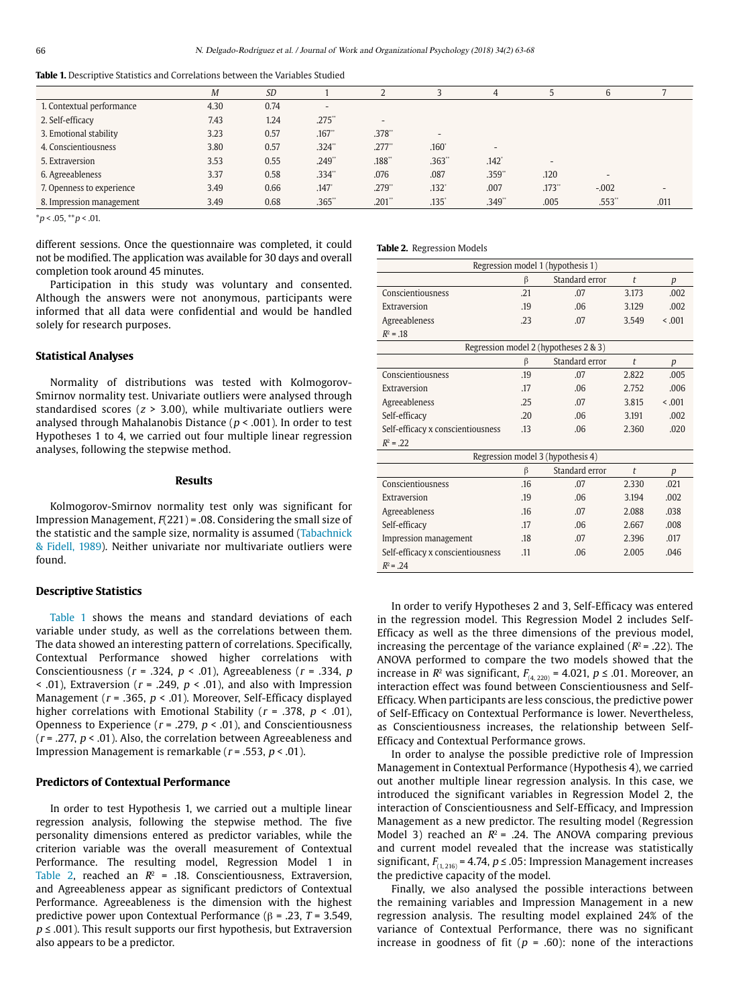<span id="page-3-0"></span>

|                           | M    | <b>SD</b> |                          |          |                          | 4                        |                      | 6                        |      |
|---------------------------|------|-----------|--------------------------|----------|--------------------------|--------------------------|----------------------|--------------------------|------|
| 1. Contextual performance | 4.30 | 0.74      | $\overline{\phantom{a}}$ |          |                          |                          |                      |                          |      |
| 2. Self-efficacy          | 7.43 | 1.24      | $.275$ "                 | $\sim$   |                          |                          |                      |                          |      |
| 3. Emotional stability    | 3.23 | 0.57      | .167"                    | .378"    | $\overline{\phantom{a}}$ |                          |                      |                          |      |
| 4. Conscientiousness      | 3.80 | 0.57      | $.324$ "                 | $.277$ " | .160 <sup>°</sup>        | $\overline{\phantom{a}}$ |                      |                          |      |
| 5. Extraversion           | 3.53 | 0.55      | .249"                    | .188"    | .363"                    | .142 <sup>°</sup>        | $\sim$               |                          |      |
| 6. Agreeableness          | 3.37 | 0.58      | .334"                    | .076     | .087                     | .359**                   | .120                 | $\overline{\phantom{a}}$ |      |
| 7. Openness to experience | 3.49 | 0.66      | .147                     | .279"    | $.132$ <sup>*</sup>      | .007                     | $.173$ <sup>**</sup> | $-.002$                  |      |
| 8. Impression management  | 3.49 | 0.68      | .365"                    | .201"    | $.135$ <sup>*</sup>      | .349"                    | .005                 | .553"                    | .011 |
|                           |      |           |                          |          |                          |                          |                      |                          |      |

 $*_{p}$  < .05,  $*_{p}$  < .01.

different sessions. Once the questionnaire was completed, it could not be modified. The application was available for 30 days and overall completion took around 45 minutes.

Participation in this study was voluntary and consented. Although the answers were not anonymous, participants were informed that all data were confidential and would be handled solely for research purposes.

#### **Statistical Analyses**

Normality of distributions was tested with Kolmogorov-Smirnov normality test. Univariate outliers were analysed through standardised scores ( $z > 3.00$ ), while multivariate outliers were analysed through Mahalanobis Distance ( $p < .001$ ). In order to test Hypotheses 1 to 4, we carried out four multiple linear regression analyses, following the stepwise method.

### **Results**

Kolmogorov-Smirnov normality test only was significant for Impression Management,  $F(221) = .08$ . Considering the small size of the statistic and the sample size, normality is assumed [\(Tabachnick](#page-5-37)  [& Fidell, 1989](#page-5-37)). Neither univariate nor multivariate outliers were found.

#### **Descriptive Statistics**

[Table 1](#page-3-0) shows the means and standard deviations of each variable under study, as well as the correlations between them. The data showed an interesting pattern of correlations. Specifically, Contextual Performance showed higher correlations with Conscientiousness ( $r = .324$ ,  $p < .01$ ), Agreeableness ( $r = .334$ ,  $p$  $\le$  .01), Extraversion ( $r = .249$ ,  $p \le .01$ ), and also with Impression Management ( $r = .365$ ,  $p < .01$ ). Moreover, Self-Efficacy displayed higher correlations with Emotional Stability ( $r = .378$ ,  $p < .01$ ), Openness to Experience ( $r = .279$ ,  $p < .01$ ), and Conscientiousness ( $r = 0.277$ ,  $p < 0.01$ ). Also, the correlation between Agreeableness and Impression Management is remarkable ( $r = .553$ ,  $p < .01$ ).

#### **Predictors of Contextual Performance**

In order to test Hypothesis 1, we carried out a multiple linear regression analysis, following the stepwise method. The five personality dimensions entered as predictor variables, while the criterion variable was the overall measurement of Contextual Performance. The resulting model, Regression Model 1 in [Table 2,](#page-3-1) reached an  $R^2$  = .18. Conscientiousness, Extraversion, and Agreeableness appear as significant predictors of Contextual Performance. Agreeableness is the dimension with the highest predictive power upon Contextual Performance (β = .23, T = 3.549,  $p \leq 0.001$ ). This result supports our first hypothesis, but Extraversion also appears to be a predictor.

<span id="page-3-1"></span>**Table 2.** Regression Models

| Regression model 1 (hypothesis 1)     |         |                |                      |                  |  |  |  |  |  |
|---------------------------------------|---------|----------------|----------------------|------------------|--|--|--|--|--|
|                                       | β       | Standard error | $\ddot{\phantom{1}}$ | $\boldsymbol{p}$ |  |  |  |  |  |
| Conscientiousness                     | .21     | .07            | 3.173                | .002             |  |  |  |  |  |
| Extraversion                          | .19     | .06            | 3.129                | .002             |  |  |  |  |  |
| Agreeableness                         | .23     | .07            | 3.549                | < 0.01           |  |  |  |  |  |
| $R^2 = .18$                           |         |                |                      |                  |  |  |  |  |  |
| Regression model 2 (hypotheses 2 & 3) |         |                |                      |                  |  |  |  |  |  |
|                                       | $\beta$ | Standard error | $\ddot{\phantom{1}}$ | $\boldsymbol{p}$ |  |  |  |  |  |
| Conscientiousness                     | .19     | .07            | 2.822                | .005             |  |  |  |  |  |
| Extraversion                          | .17     | .06            | 2.752                | .006             |  |  |  |  |  |
| Agreeableness                         | .25     | .07            | 3.815                | 0.01             |  |  |  |  |  |
| Self-efficacy                         | 20      | .06            | 3.191                | .002             |  |  |  |  |  |
| Self-efficacy x conscientiousness     | .13     | .06            | 2.360                | .020             |  |  |  |  |  |
| $R^2 = .22$                           |         |                |                      |                  |  |  |  |  |  |
| Regression model 3 (hypothesis 4)     |         |                |                      |                  |  |  |  |  |  |
|                                       | β       | Standard error | $\ddot{\phantom{1}}$ | p                |  |  |  |  |  |
| Conscientiousness                     | .16     | .07            | 2.330                | .021             |  |  |  |  |  |
| Extraversion                          | .19     | .06            | 3.194                | .002             |  |  |  |  |  |
| Agreeableness                         | .16     | .07            | 2.088                | .038             |  |  |  |  |  |
| Self-efficacy                         | .17     | .06            | 2.667                | .008             |  |  |  |  |  |
| Impression management                 | .18     | .07            | 2.396                | .017             |  |  |  |  |  |
| Self-efficacy x conscientiousness     | .11     | .06            | 2.005                | .046             |  |  |  |  |  |
| $R^2 = .24$                           |         |                |                      |                  |  |  |  |  |  |

In order to verify Hypotheses 2 and 3, Self-Efficacy was entered in the regression model. This Regression Model 2 includes Self-Efficacy as well as the three dimensions of the previous model, increasing the percentage of the variance explained ( $R^2$  = .22). The ANOVA performed to compare the two models showed that the increase in  $R^2$  was significant,  $F_{(4, 220)} = 4.021$ ,  $p \le .01$ . Moreover, an interaction effect was found between Conscientiousness and Self-Efficacy. When participants are less conscious, the predictive power of Self-Efficacy on Contextual Performance is lower. Nevertheless, as Conscientiousness increases, the relationship between Self-Efficacy and Contextual Performance grows.

In order to analyse the possible predictive role of Impression Management in Contextual Performance (Hypothesis 4), we carried out another multiple linear regression analysis. In this case, we introduced the significant variables in Regression Model 2, the interaction of Conscientiousness and Self-Efficacy, and Impression Management as a new predictor. The resulting model (Regression Model 3) reached an  $R^2$  = .24. The ANOVA comparing previous and current model revealed that the increase was statistically significant,  $F_{(1, 216)} = 4.74$ ,  $p \le 0.05$ : Impression Management increases the predictive capacity of the model.

Finally, we also analysed the possible interactions between the remaining variables and Impression Management in a new regression analysis. The resulting model explained 24% of the variance of Contextual Performance, there was no significant increase in goodness of fit ( $p = .60$ ): none of the interactions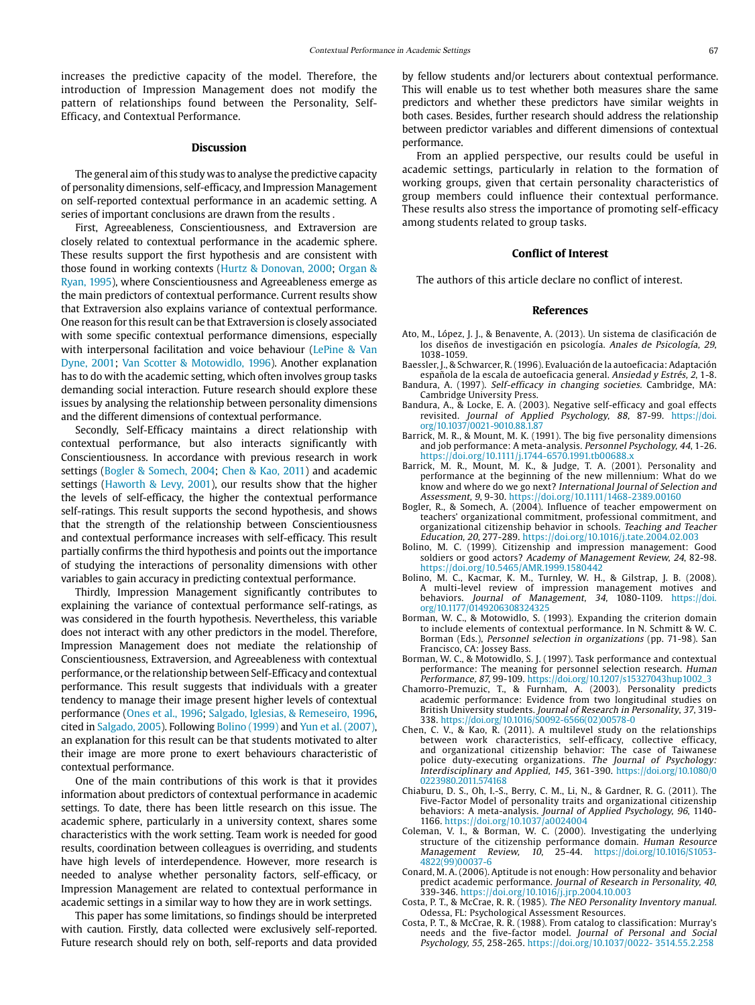increases the predictive capacity of the model. Therefore, the introduction of Impression Management does not modify the pattern of relationships found between the Personality, Self-Efficacy, and Contextual Performance.

#### **Discussion**

The general aim of this study was to analyse the predictive capacity of personality dimensions, self-efficacy, and Impression Management on self-reported contextual performance in an academic setting. A series of important conclusions are drawn from the results .

First, Agreeableness, Conscientiousness, and Extraversion are closely related to contextual performance in the academic sphere. These results support the first hypothesis and are consistent with those found in working contexts [\(Hurtz & Donovan, 2000;](#page-5-5) [Organ &](#page-5-8)  [Ryan, 1995](#page-5-8)), where Conscientiousness and Agreeableness emerge as the main predictors of contextual performance. Current results show that Extraversion also explains variance of contextual performance. One reason for this result can be that Extraversion is closely associated with some specific contextual performance dimensions, especially with interpersonal facilitation and voice behaviour [\(LePine & Van](#page-5-38)  [Dyne, 2001;](#page-5-38) [Van Scotter & Motowidlo, 1996\)](#page-5-6). Another explanation has to do with the academic setting, which often involves group tasks demanding social interaction. Future research should explore these issues by analysing the relationship between personality dimensions and the different dimensions of contextual performance.

Secondly, Self-Efficacy maintains a direct relationship with contextual performance, but also interacts significantly with Conscientiousness. In accordance with previous research in work settings ([Bogler & Somech, 2004](#page-4-10); [Chen & Kao, 2011\)](#page-4-11) and academic settings ([Haworth & Levy, 2001\)](#page-5-23), our results show that the higher the levels of self-efficacy, the higher the contextual performance self-ratings. This result supports the second hypothesis, and shows that the strength of the relationship between Conscientiousness and contextual performance increases with self-efficacy. This result partially confirms the third hypothesis and points out the importance of studying the interactions of personality dimensions with other variables to gain accuracy in predicting contextual performance.

Thirdly, Impression Management significantly contributes to explaining the variance of contextual performance self-ratings, as was considered in the fourth hypothesis. Nevertheless, this variable does not interact with any other predictors in the model. Therefore, Impression Management does not mediate the relationship of Conscientiousness, Extraversion, and Agreeableness with contextual performance, or the relationship between Self-Efficacy and contextual performance. This result suggests that individuals with a greater tendency to manage their image present higher levels of contextual performance [\(Ones et al., 1996;](#page-5-27) [Salgado, Iglesias, & Remeseiro, 1996,](#page-5-1) cited in [Salgado, 2005](#page-5-39)). Following [Bolino \(1999\)](#page-4-14) and [Yun et al. \(2007\),](#page-5-32) an explanation for this result can be that students motivated to alter their image are more prone to exert behaviours characteristic of contextual performance.

One of the main contributions of this work is that it provides information about predictors of contextual performance in academic settings. To date, there has been little research on this issue. The academic sphere, particularly in a university context, shares some characteristics with the work setting. Team work is needed for good results, coordination between colleagues is overriding, and students have high levels of interdependence. However, more research is needed to analyse whether personality factors, self-efficacy, or Impression Management are related to contextual performance in academic settings in a similar way to how they are in work settings.

This paper has some limitations, so findings should be interpreted with caution. Firstly, data collected were exclusively self-reported. Future research should rely on both, self-reports and data provided

by fellow students and/or lecturers about contextual performance. This will enable us to test whether both measures share the same predictors and whether these predictors have similar weights in both cases. Besides, further research should address the relationship between predictor variables and different dimensions of contextual performance.

From an applied perspective, our results could be useful in academic settings, particularly in relation to the formation of working groups, given that certain personality characteristics of group members could influence their contextual performance. These results also stress the importance of promoting self-efficacy among students related to group tasks.

#### **Conflict of Interest**

The authors of this article declare no conflict of interest.

#### **References**

- <span id="page-4-15"></span>Ato, M., López, J. J., & Benavente, A. (2013). Un sistema de clasificación de los diseños de investigación en psicología. Anales de Psicología, 29, 1038-1059.
- <span id="page-4-16"></span>Baessler, J., & Schwarcer, R. (1996). Evaluación de la autoeficacia: Adaptación española de la escala de autoeficacia general. Ansiedad y Estrés, 2, 1-8.
- <span id="page-4-8"></span>Bandura, A. (1997). Self-efficacy in changing societies. Cambridge, MA: Cambridge University Press.
- <span id="page-4-9"></span>Bandura, A., & Locke, E. A. (2003). Negative self-efficacy and goal effects revisited. Journal of Applied Psychology, 88, 87-99. [https://doi.](https://doi.org/10.1037/0021-9010.88.1.87) [org/10.1037/0021-9010.88.1.87](https://doi.org/10.1037/0021-9010.88.1.87)
- <span id="page-4-1"></span>Barrick, M. R., & Mount, M. K. (1991). The big five personality dimensions and job performance: A meta-analysis. Personnel Psychology, 44, 1-26. https://doi.org/[10.1111/j.1744-6570.1991.tb00688.x](http://dx.doi.org/10.1111/j.1744-6570.1991.tb00688.x)
- <span id="page-4-2"></span>Barrick, M. R., Mount, M. K., & Judge, T. A. (2001). Personality and performance at the beginning of the new millennium: What do we know and where do we go next? International Journal of Selection and Assessment, 9, 9-30. https://doi.org/[10.1111/1468-2389.00160](http://www.apple.es)
- <span id="page-4-10"></span>Bogler, R., & Somech, A. (2004). Influence of teacher empowerment on teachers' organizational commitment, professional commitment, and organizational citizenship behavior in schools. Teaching and Teacher Education, 20, 277-289. https://doi.org/10.1016/j.tate.2004.02.003
- <span id="page-4-14"></span>Bolino, M. C. (1999). Citizenship and impression management: Good soldiers or good actors? Academy of Management Review, 24, 82-98. https://doi.org/10.5465/AMR.1999.1580442
- <span id="page-4-12"></span>Bolino, M. C., Kacmar, K. M., Turnley, W. H., & Gilstrap, J. B. (2008). A multi-level review of impression management motives and behaviors. Journal of Management, 34, 1080-1109. [https://doi.](https://doi.org/10.1177/0149206308324325) [org/10.1177/0149206308324325](https://doi.org/10.1177/0149206308324325)
- <span id="page-4-5"></span>Borman, W. C., & Motowidlo, S. (1993). Expanding the criterion domain to include elements of contextual performance. In N. Schmitt & W. C. Borman (Eds.), Personnel selection in organizations (pp. 71-98). San Francisco, CA: Jossey Bass.
- <span id="page-4-6"></span>Borman, W. C., & Motowidlo, S. J. (1997). Task performance and contextual performance: The meaning for personnel selection research. Human Performance, 87, 99-109. [https://doi.org/10.1207/s15327043hup1002\\_3](https://doi.org/10.1207/s15327043hup1002_3)
- <span id="page-4-3"></span>Chamorro-Premuzic, T., & Furnham, A. (2003). Personality predicts academic performance: Evidence from two longitudinal studies on British University students. Journal of Research in Personality, 37, 319- 338. [https://doi.org/10.1016/S0092-6566\(02\)00578-0](https://doi.org/10.1016/S0092-6566(02)00578-0)
- <span id="page-4-11"></span>Chen, C. V., & Kao, R. (2011). A multilevel study on the relationships between work characteristics, self-efficacy, collective efficacy, and organizational citizenship behavior: The case of Taiwanese police duty-executing organizations. The Journal of Psychology: Interdisciplinary and Applied, 145, 361-390. [https://doi.org/10.1080/0](https://doi.org/10.1080/00223980.2011.574168) [0223980.2011.574168](https://doi.org/10.1080/00223980.2011.574168)
- <span id="page-4-7"></span>Chiaburu, D. S., Oh, I.-S., Berry, C. M., Li, N., & Gardner, R. G. (2011). The Five-Factor Model of personality traits and organizational citizenship behaviors: A meta-analysis. Journal of Applied Psychology, 96, 1140- 1166. https://doi.org[/10.1037/a0024004](http://dx.doi.org/10.1037/a0024004)
- <span id="page-4-17"></span>Coleman, V. I., & Borman, W. C. (2000). Investigating the underlying structure of the citizenship performance domain. Human Resource Management Review, 10, 25-44. [https://doi.org/10.1016/S1053-](https://doi.org/10.1016/S1053-4822(99)00037-6) [4822\(99\)00037-6](https://doi.org/10.1016/S1053-4822(99)00037-6)
- <span id="page-4-4"></span>Conard, M. A. (2006). Aptitude is not enough: How personality and behavior predict academic performance. Journal of Research in Personality, 40, 339-346. https://doi.org/[10.1016/j.jrp.2004.10.003](http://dx.doi.org/10.1016/j.jrp.2004.10.003)
- <span id="page-4-0"></span>Costa, P. T., & McCrae, R. R. (1985). The NEO Personality Inventory manual. Odessa, FL: Psychological Assessment Resources.
- <span id="page-4-13"></span>Costa, P. T., & McCrae, R. R. (1988). From catalog to classification: Murray's needs and the five-factor model. Journal of Personal and Social Psychology, 55, 258-265. https://doi.org/10.1037/0022- 3514.55.2.258